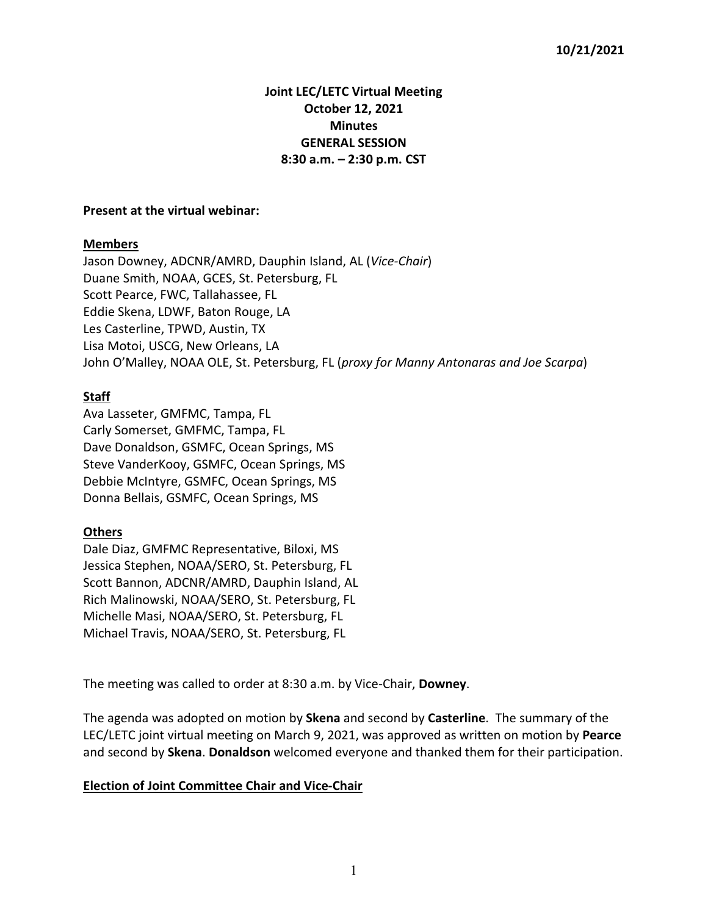# **Joint LEC/LETC Virtual Meeting October 12, 2021 Minutes GENERAL SESSION 8:30 a.m. – 2:30 p.m. CST**

#### **Present at the virtual webinar:**

### **Members**

Jason Downey, ADCNR/AMRD, Dauphin Island, AL (*Vice-Chair*) Duane Smith, NOAA, GCES, St. Petersburg, FL Scott Pearce, FWC, Tallahassee, FL Eddie Skena, LDWF, Baton Rouge, LA Les Casterline, TPWD, Austin, TX Lisa Motoi, USCG, New Orleans, LA John O'Malley, NOAA OLE, St. Petersburg, FL (*proxy for Manny Antonaras and Joe Scarpa*)

## **Staff**

Ava Lasseter, GMFMC, Tampa, FL Carly Somerset, GMFMC, Tampa, FL Dave Donaldson, GSMFC, Ocean Springs, MS Steve VanderKooy, GSMFC, Ocean Springs, MS Debbie McIntyre, GSMFC, Ocean Springs, MS Donna Bellais, GSMFC, Ocean Springs, MS

### **Others**

Dale Diaz, GMFMC Representative, Biloxi, MS Jessica Stephen, NOAA/SERO, St. Petersburg, FL Scott Bannon, ADCNR/AMRD, Dauphin Island, AL Rich Malinowski, NOAA/SERO, St. Petersburg, FL Michelle Masi, NOAA/SERO, St. Petersburg, FL Michael Travis, NOAA/SERO, St. Petersburg, FL

The meeting was called to order at 8:30 a.m. by Vice-Chair, **Downey**.

The agenda was adopted on motion by **Skena** and second by **Casterline**. The summary of the LEC/LETC joint virtual meeting on March 9, 2021, was approved as written on motion by **Pearce** and second by **Skena**. **Donaldson** welcomed everyone and thanked them for their participation.

### **Election of Joint Committee Chair and Vice-Chair**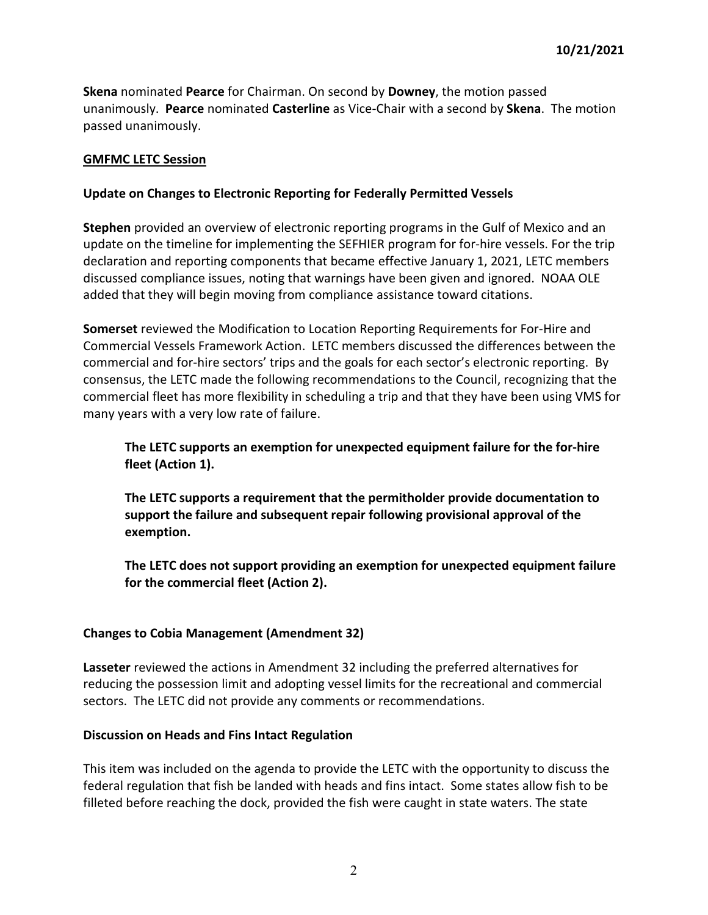**Skena** nominated **Pearce** for Chairman. On second by **Downey**, the motion passed unanimously. **Pearce** nominated **Casterline** as Vice-Chair with a second by **Skena**. The motion passed unanimously.

## **GMFMC LETC Session**

## **Update on Changes to Electronic Reporting for Federally Permitted Vessels**

**Stephen** provided an overview of electronic reporting programs in the Gulf of Mexico and an update on the timeline for implementing the SEFHIER program for for-hire vessels. For the trip declaration and reporting components that became effective January 1, 2021, LETC members discussed compliance issues, noting that warnings have been given and ignored. NOAA OLE added that they will begin moving from compliance assistance toward citations.

**Somerset** reviewed the Modification to Location Reporting Requirements for For-Hire and Commercial Vessels Framework Action. LETC members discussed the differences between the commercial and for-hire sectors' trips and the goals for each sector's electronic reporting. By consensus, the LETC made the following recommendations to the Council, recognizing that the commercial fleet has more flexibility in scheduling a trip and that they have been using VMS for many years with a very low rate of failure.

# **The LETC supports an exemption for unexpected equipment failure for the for-hire fleet (Action 1).**

**The LETC supports a requirement that the permitholder provide documentation to support the failure and subsequent repair following provisional approval of the exemption.**

**The LETC does not support providing an exemption for unexpected equipment failure for the commercial fleet (Action 2).** 

### **Changes to Cobia Management (Amendment 32)**

**Lasseter** reviewed the actions in Amendment 32 including the preferred alternatives for reducing the possession limit and adopting vessel limits for the recreational and commercial sectors. The LETC did not provide any comments or recommendations.

### **Discussion on Heads and Fins Intact Regulation**

This item was included on the agenda to provide the LETC with the opportunity to discuss the federal regulation that fish be landed with heads and fins intact. Some states allow fish to be filleted before reaching the dock, provided the fish were caught in state waters. The state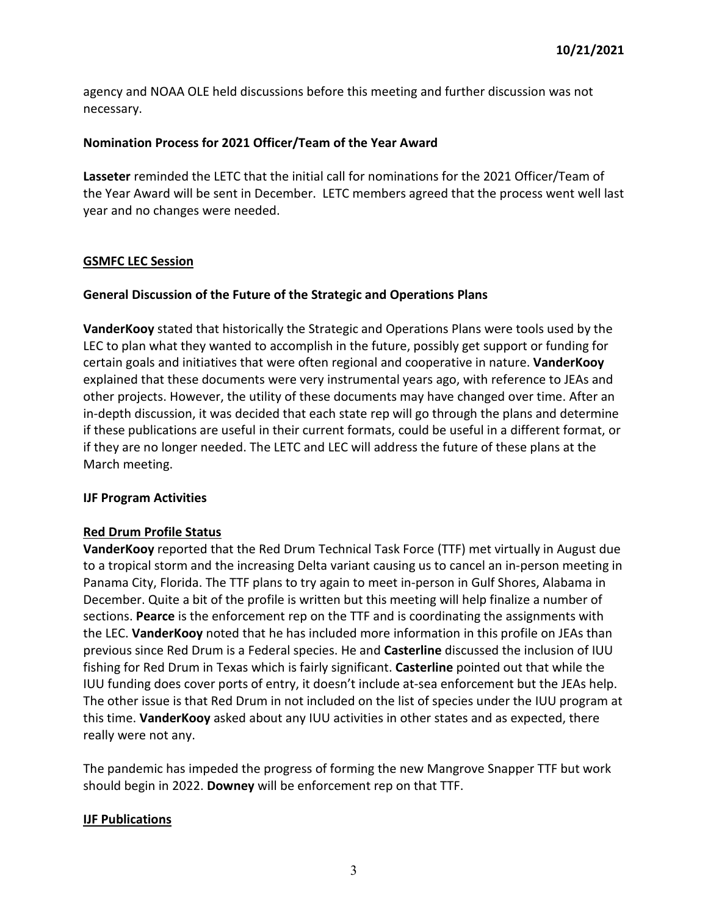agency and NOAA OLE held discussions before this meeting and further discussion was not necessary.

## **Nomination Process for 2021 Officer/Team of the Year Award**

**Lasseter** reminded the LETC that the initial call for nominations for the 2021 Officer/Team of the Year Award will be sent in December. LETC members agreed that the process went well last year and no changes were needed.

## **GSMFC LEC Session**

## **General Discussion of the Future of the Strategic and Operations Plans**

**VanderKooy** stated that historically the Strategic and Operations Plans were tools used by the LEC to plan what they wanted to accomplish in the future, possibly get support or funding for certain goals and initiatives that were often regional and cooperative in nature. **VanderKooy** explained that these documents were very instrumental years ago, with reference to JEAs and other projects. However, the utility of these documents may have changed over time. After an in-depth discussion, it was decided that each state rep will go through the plans and determine if these publications are useful in their current formats, could be useful in a different format, or if they are no longer needed. The LETC and LEC will address the future of these plans at the March meeting.

### **IJF Program Activities**

## **Red Drum Profile Status**

**VanderKooy** reported that the Red Drum Technical Task Force (TTF) met virtually in August due to a tropical storm and the increasing Delta variant causing us to cancel an in-person meeting in Panama City, Florida. The TTF plans to try again to meet in-person in Gulf Shores, Alabama in December. Quite a bit of the profile is written but this meeting will help finalize a number of sections. **Pearce** is the enforcement rep on the TTF and is coordinating the assignments with the LEC. **VanderKooy** noted that he has included more information in this profile on JEAs than previous since Red Drum is a Federal species. He and **Casterline** discussed the inclusion of IUU fishing for Red Drum in Texas which is fairly significant. **Casterline** pointed out that while the IUU funding does cover ports of entry, it doesn't include at-sea enforcement but the JEAs help. The other issue is that Red Drum in not included on the list of species under the IUU program at this time. **VanderKooy** asked about any IUU activities in other states and as expected, there really were not any.

The pandemic has impeded the progress of forming the new Mangrove Snapper TTF but work should begin in 2022. **Downey** will be enforcement rep on that TTF.

## **IJF Publications**